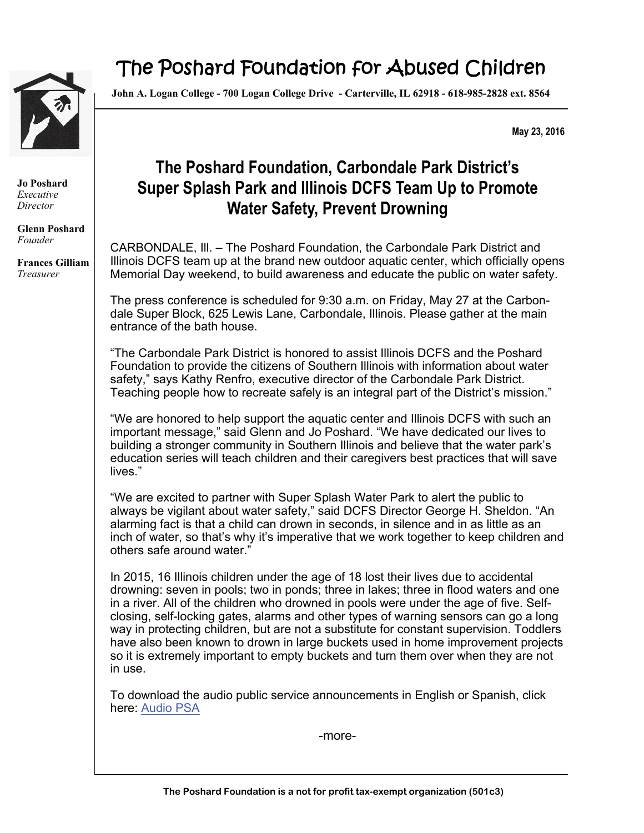

## The Poshard Foundation for Abused Children

**John A. Logan College - 700 Logan College Drive - Carterville, IL 62918 - 618-985-2828 ext. 8564** 

**May 23, 2016** 

**Jo Poshard**  *Executive Director* 

**Glenn Poshard**  *Founder* 

**Frances Gilliam**  *Treasurer* 

## **The Poshard Foundation, Carbondale Park District's Super Splash Park and Illinois DCFS Team Up to Promote Water Safety, Prevent Drowning**

CARBONDALE, Ill. – The Poshard Foundation, the Carbondale Park District and Illinois DCFS team up at the brand new outdoor aquatic center, which officially opens Memorial Day weekend, to build awareness and educate the public on water safety.

The press conference is scheduled for 9:30 a.m. on Friday, May 27 at the Carbondale Super Block, 625 Lewis Lane, Carbondale, Illinois. Please gather at the main entrance of the bath house.

"The Carbondale Park District is honored to assist Illinois DCFS and the Poshard Foundation to provide the citizens of Southern Illinois with information about water safety," says Kathy Renfro, executive director of the Carbondale Park District. Teaching people how to recreate safely is an integral part of the District's mission."

"We are honored to help support the aquatic center and Illinois DCFS with such an important message," said Glenn and Jo Poshard. "We have dedicated our lives to building a stronger community in Southern Illinois and believe that the water park's education series will teach children and their caregivers best practices that will save lives."

"We are excited to partner with Super Splash Water Park to alert the public to always be vigilant about water safety," said DCFS Director George H. Sheldon. "An alarming fact is that a child can drown in seconds, in silence and in as little as an inch of water, so that's why it's imperative that we work together to keep children and others safe around water."

In 2015, 16 Illinois children under the age of 18 lost their lives due to accidental drowning: seven in pools; two in ponds; three in lakes; three in flood waters and one in a river. All of the children who drowned in pools were under the age of five. Selfclosing, self-locking gates, alarms and other types of warning sensors can go a long way in protecting children, but are not a substitute for constant supervision. Toddlers have also been known to drown in large buckets used in home improvement projects so it is extremely important to empty buckets and turn them over when they are not in use.

To download the audio public service announcements in English or Spanish, click here: [Audio PSA](http://www.illinois.gov/cms/agency/media/radio/SitePages/PSA.aspx)

-more-